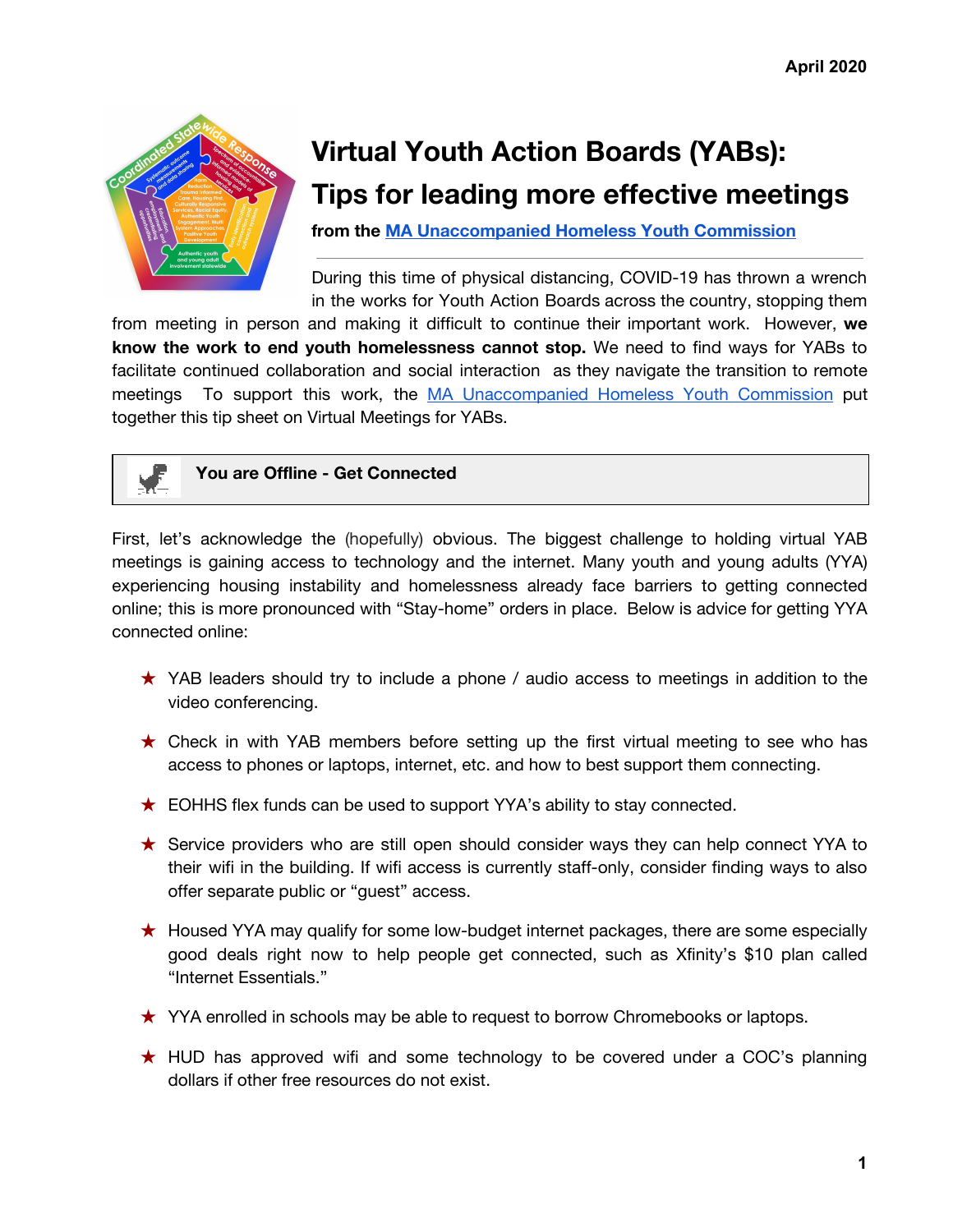

## **Virtual Youth Action Boards (YABs): Tips for leading more effective meetings**

**from the MA [Unaccompanied](https://www.mass.gov/orgs/ma-unaccompanied-homeless-youth-commission) Homeless Youth Commission**

During this time of physical distancing, COVID-19 has thrown a wrench in the works for Youth Action Boards across the country, stopping them

from meeting in person and making it difficult to continue their important work. However, **we know the work to end youth homelessness cannot stop.** We need to find ways for YABs to facilitate continued collaboration and social interaction as they navigate the transition to remote meetings To support this work, the MA [Unaccompanied](https://www.mass.gov/orgs/ma-unaccompanied-homeless-youth-commission) Homeless Youth Commission put together this tip sheet on Virtual Meetings for YABs.



**You are Offline - Get Connected**

First, let's acknowledge the (hopefully) obvious. The biggest challenge to holding virtual YAB meetings is gaining access to technology and the internet. Many youth and young adults (YYA) experiencing housing instability and homelessness already face barriers to getting connected online; this is more pronounced with "Stay-home" orders in place. Below is advice for getting YYA connected online:

- ★ YAB leaders should try to include a phone / audio access to meetings in addition to the video conferencing.
- $\star$  Check in with YAB members before setting up the first virtual meeting to see who has access to phones or laptops, internet, etc. and how to best support them connecting.
- ★ EOHHS flex funds can be used to support YYA's ability to stay connected.
- ★ Service providers who are still open should consider ways they can help connect YYA to their wifi in the building. If wifi access is currently staff-only, consider finding ways to also offer separate public or "guest" access.
- ★ Housed YYA may qualify for some low-budget internet packages, there are some especially good deals right now to help people get connected, such as Xfinity's \$10 plan called "Internet Essentials."
- ★ YYA enrolled in schools may be able to request to borrow Chromebooks or laptops.
- ★ HUD has approved wifi and some technology to be covered under a COC's planning dollars if other free resources do not exist.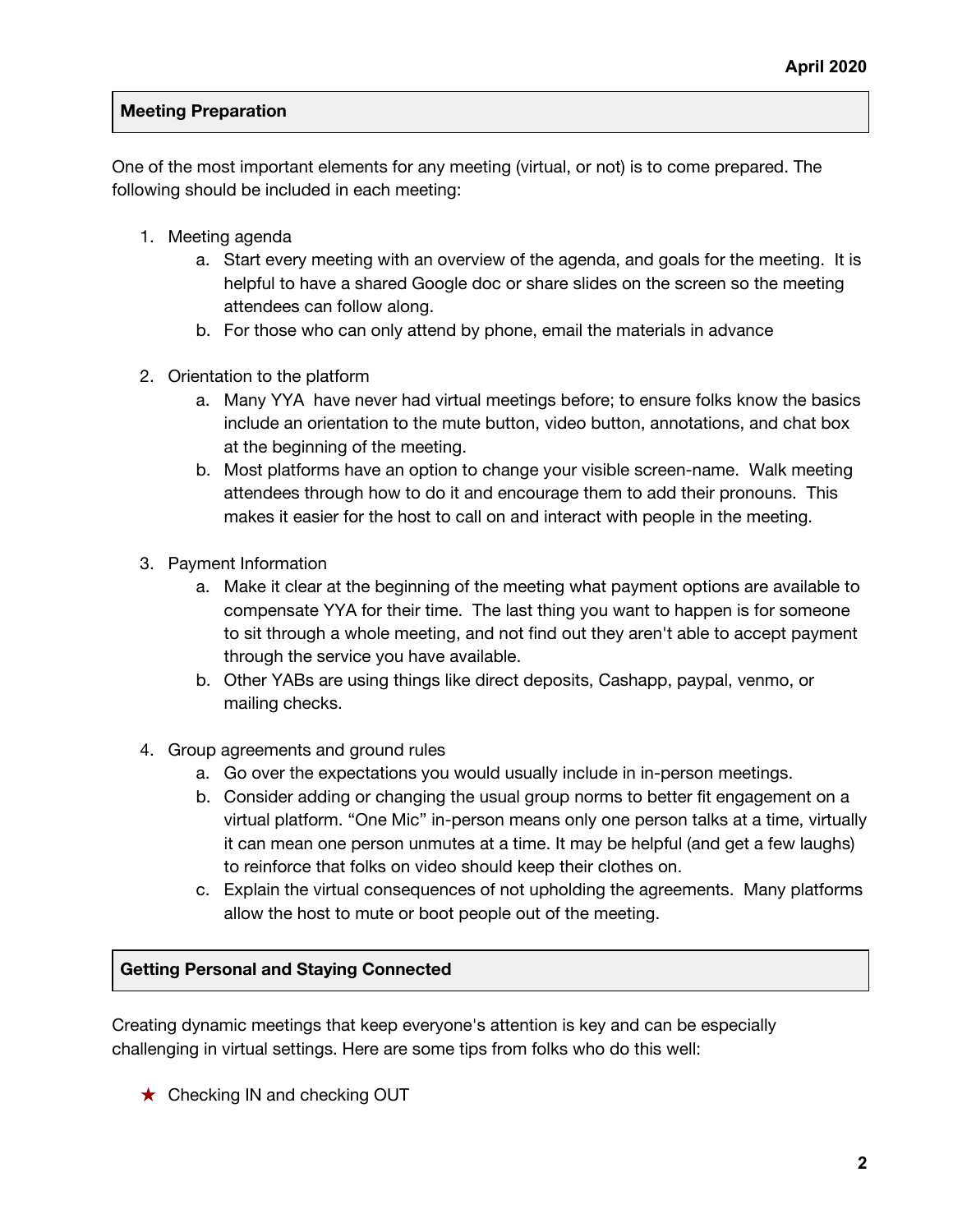## **Meeting Preparation**

One of the most important elements for any meeting (virtual, or not) is to come prepared. The following should be included in each meeting:

- 1. Meeting agenda
	- a. Start every meeting with an overview of the agenda, and goals for the meeting. It is helpful to have a shared Google doc or share slides on the screen so the meeting attendees can follow along.
	- b. For those who can only attend by phone, email the materials in advance
- 2. Orientation to the platform
	- a. Many YYA have never had virtual meetings before; to ensure folks know the basics include an orientation to the mute button, video button, annotations, and chat box at the beginning of the meeting.
	- b. Most platforms have an option to change your visible screen-name. Walk meeting attendees through how to do it and encourage them to add their pronouns. This makes it easier for the host to call on and interact with people in the meeting.
- 3. Payment Information
	- a. Make it clear at the beginning of the meeting what payment options are available to compensate YYA for their time. The last thing you want to happen is for someone to sit through a whole meeting, and not find out they aren't able to accept payment through the service you have available.
	- b. Other YABs are using things like direct deposits, Cashapp, paypal, venmo, or mailing checks.
- 4. Group agreements and ground rules
	- a. Go over the expectations you would usually include in in-person meetings.
	- b. Consider adding or changing the usual group norms to better fit engagement on a virtual platform. "One Mic" in-person means only one person talks at a time, virtually it can mean one person unmutes at a time. It may be helpful (and get a few laughs) to reinforce that folks on video should keep their clothes on.
	- c. Explain the virtual consequences of not upholding the agreements. Many platforms allow the host to mute or boot people out of the meeting.

## **Getting Personal and Staying Connected**

Creating dynamic meetings that keep everyone's attention is key and can be especially challenging in virtual settings. Here are some tips from folks who do this well:

**★ Checking IN and checking OUT**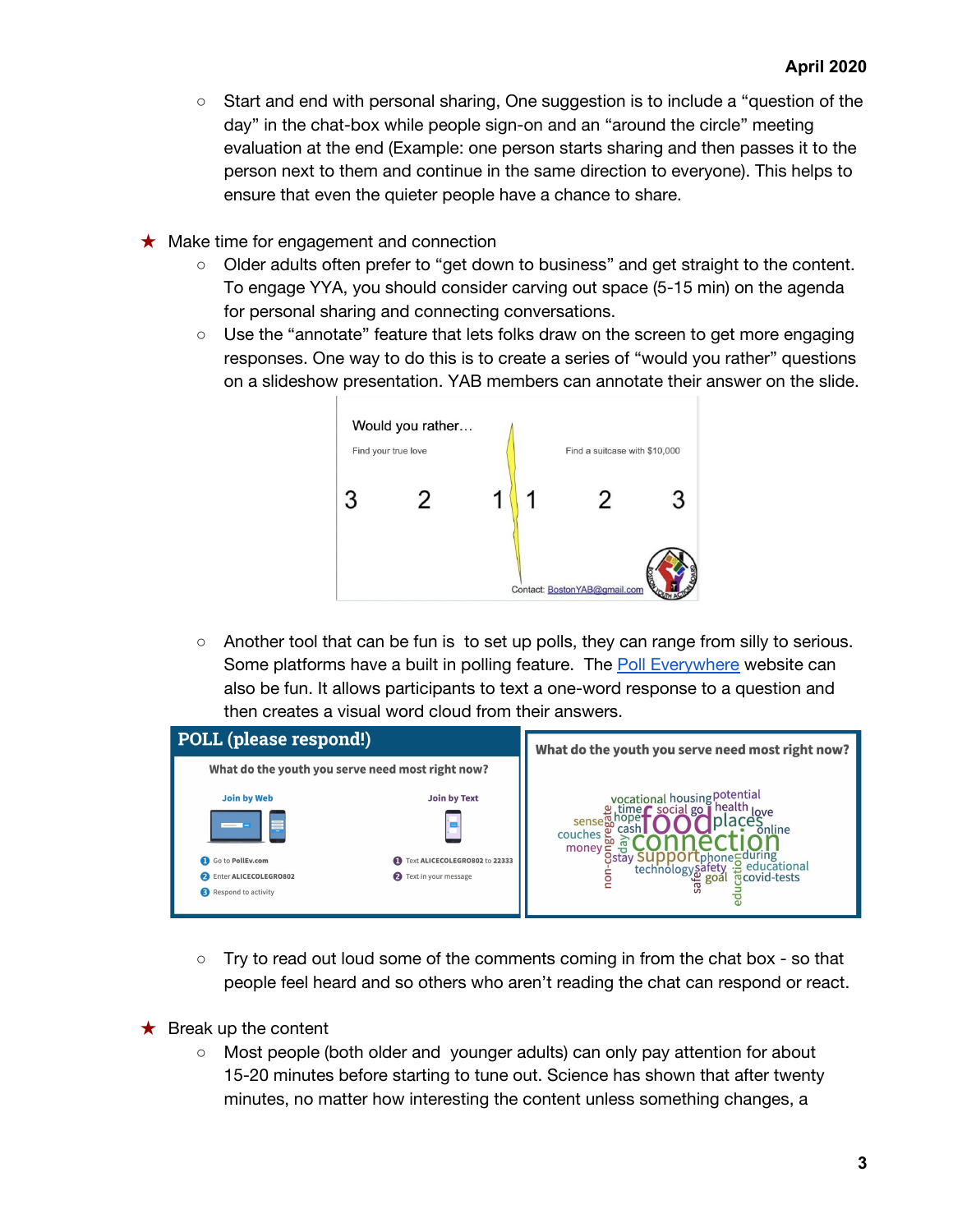- Start and end with personal sharing, One suggestion is to include a "question of the day" in the chat-box while people sign-on and an "around the circle" meeting evaluation at the end (Example: one person starts sharing and then passes it to the person next to them and continue in the same direction to everyone). This helps to ensure that even the quieter people have a chance to share.
- $\star$  Make time for engagement and connection
	- Older adults often prefer to "get down to business" and get straight to the content. To engage YYA, you should consider carving out space (5-15 min) on the agenda for personal sharing and connecting conversations.
	- Use the "annotate" feature that lets folks draw on the screen to get more engaging responses. One way to do this is to create a series of "would you rather" questions on a slideshow presentation. YAB members can annotate their answer on the slide.



○ Another tool that can be fun is to set up polls, they can range from silly to serious. Some platforms have a built in polling feature. The Poll [Everywhere](https://www.polleverywhere.com/?ref=PIW0qgbZ&campaignid=1624296850&adgroupid=63462208002&keyword=poll%20everywhere&matchtype=e&device=c&keywordid=kwd-304786950627&gclid=CjwKCAjwhOD0BRAQEiwAK7JHmOVFkiXll3PhuADSXUkhGl_q6SKQD4_ueIK78s937PjXodLuammOKBoCmxQQAvD_BwE) website can also be fun. It allows participants to text a one-word response to a question and then creates a visual word cloud from their answers.



- $\circ$  Try to read out loud some of the comments coming in from the chat box so that people feel heard and so others who aren't reading the chat can respond or react.
- $\bigstar$  Break up the content
	- Most people (both older and younger adults) can only pay attention for about 15-20 minutes before starting to tune out. Science has shown that after twenty minutes, no matter how interesting the content unless something changes, a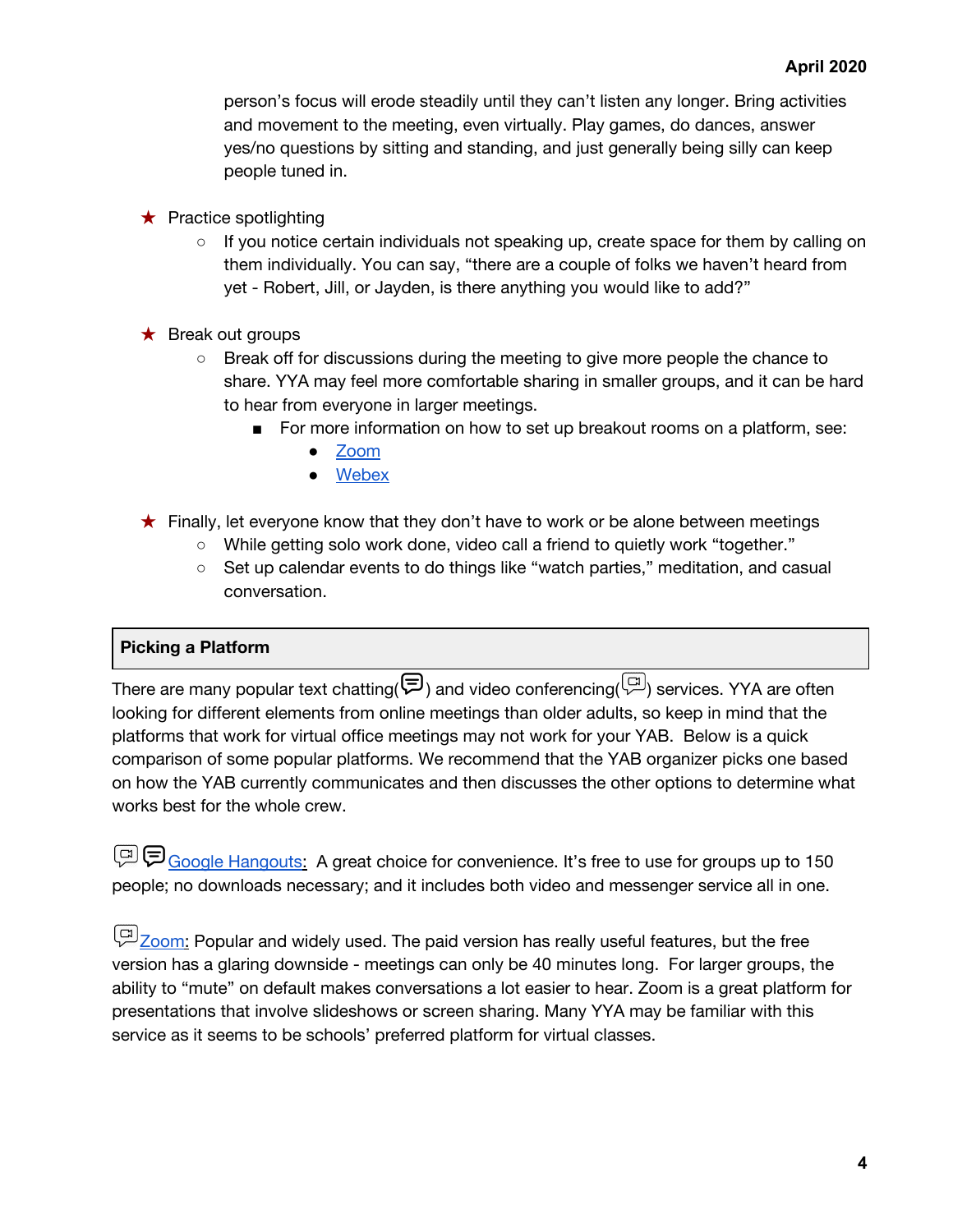person's focus will erode steadily until they can't listen any longer. Bring activities and movement to the meeting, even virtually. Play games, do dances, answer yes/no questions by sitting and standing, and just generally being silly can keep people tuned in.

- $\star$  Practice spotlighting
	- $\circ$  If you notice certain individuals not speaking up, create space for them by calling on them individually. You can say, "there are a couple of folks we haven't heard from yet - Robert, Jill, or Jayden, is there anything you would like to add?"
- $\star$  Break out groups
	- Break off for discussions during the meeting to give more people the chance to share. YYA may feel more comfortable sharing in smaller groups, and it can be hard to hear from everyone in larger meetings.
		- For more information on how to set up breakout rooms on a platform, see:
			- [Zoom](https://support.zoom.us/hc/en-us/articles/206476313-Managing-Video-Breakout-Rooms)
			- [Webex](https://help.webex.com/en-us/nf7jjd5/Set-Up-Breakout-Sessions-When-You-Schedule-a-Cisco-Webex-Training-Session)
- ★ Finally, let everyone know that they don't have to work or be alone between meetings
	- While getting solo work done, video call a friend to quietly work "together."
	- Set up calendar events to do things like "watch parties," meditation, and casual conversation.

## **Picking a Platform**

There are many popular text chatting( $\left(\overline{\mathcal{F}}\right)$  and video conferencing( $\left(\overline{\mathcal{F}}\right)$ ) services. YYA are often looking for different elements from online meetings than older adults, so keep in mind that the platforms that work for virtual office meetings may not work for your YAB. Below is a quick comparison of some popular platforms. We recommend that the YAB organizer picks one based on how the YAB currently communicates and then discusses the other options to determine what works best for the whole crew.

Google [Hangouts](https://hangouts.google.com/): A great choice for convenience. It's free to use for groups up to 150 people; no downloads necessary; and it includes both video and messenger service all in one.

[Zoom](https://zoom.us/): Popular and widely used. The paid version has really useful features, but the free version has a glaring downside - meetings can only be 40 minutes long. For larger groups, the ability to "mute" on default makes conversations a lot easier to hear. Zoom is a great platform for presentations that involve slideshows or screen sharing. Many YYA may be familiar with this service as it seems to be schools' preferred platform for virtual classes.